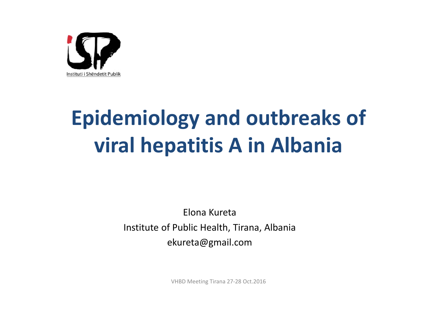

## **Epidemiology and outbreaks of viral hepatitis A in Albania**

Elona KuretaInstitute of Public Health, Tirana, Albania ekureta@gmail.com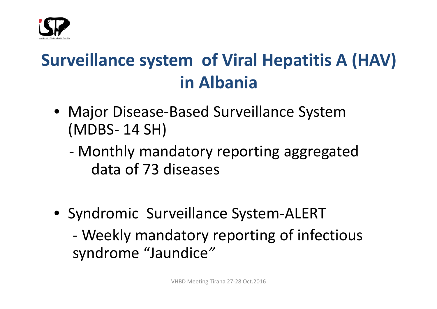

### **Surveillance system of Viral Hepatitis A (HAV) in Albania**

- Major Disease‐Based Surveillance System (MDBS‐ 14 SH)
	- ‐ Monthly mandatory reporting aggregated data of 73 diseases
- Syndromic Surveillance System‐ALERT ‐ Weekly mandatory reporting of infectious syndrome "Jaundice*"*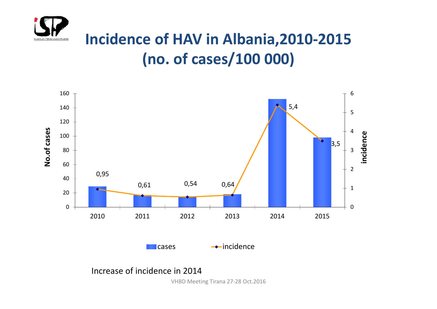

#### **Incidence of HAV in Albania,2010‐2015 (no. of cases/100 000)**

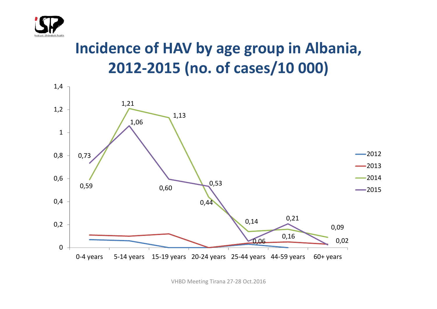

#### **Incidence of HAV by age group in Albania, 2012‐2015 (no. of cases/10 000)**

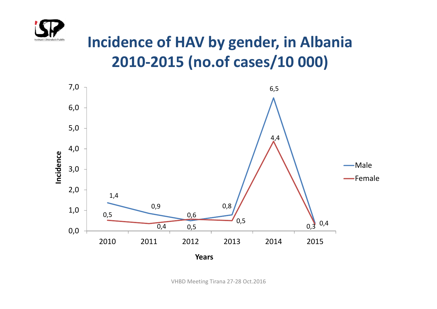

#### **Incidence of HAV by gender, in Albania 2010‐2015 (no.of cases/10 000)**

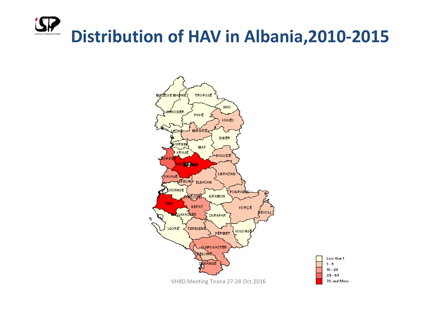# **Distribution of HAV in Albania,2010‐2015**

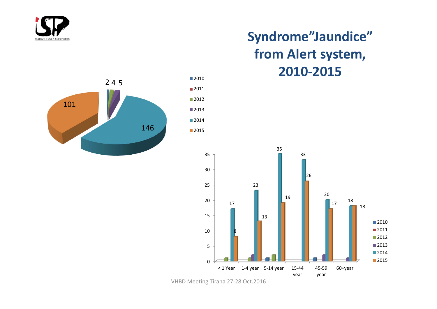

#### **Syndrome"Jaundice" from Alert system, ‐2015**

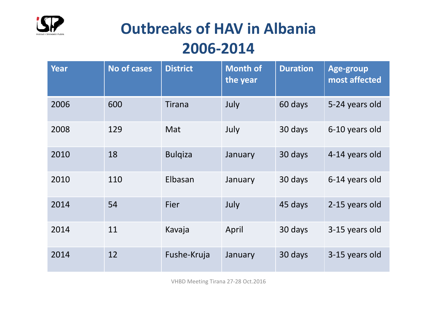

#### **Outbreaks of HAV in Albania 2006‐2014**

| <b>Year</b> | <b>No of cases</b> | <b>District</b> | <b>Month of</b><br>the year | <b>Duration</b> | Age-group<br>most affected |
|-------------|--------------------|-----------------|-----------------------------|-----------------|----------------------------|
| 2006        | 600                | Tirana          | July                        | 60 days         | 5-24 years old             |
| 2008        | 129                | Mat             | July                        | 30 days         | 6-10 years old             |
| 2010        | 18                 | <b>Bulgiza</b>  | January                     | 30 days         | 4-14 years old             |
| 2010        | 110                | Elbasan         | January                     | 30 days         | 6-14 years old             |
| 2014        | 54                 | Fier            | July                        | 45 days         | 2-15 years old             |
| 2014        | 11                 | Kavaja          | April                       | 30 days         | 3-15 years old             |
| 2014        | 12                 | Fushe-Kruja     | January                     | 30 days         | 3-15 years old             |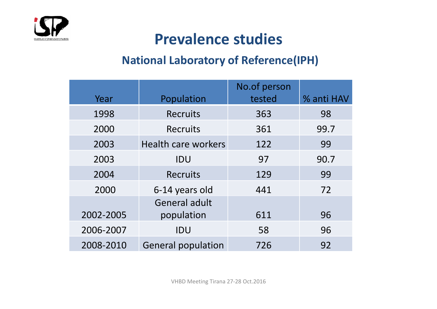

#### **Prevalence studies**

#### **National Laboratory of Reference(IPH)**

|           |                            | No.of person |            |
|-----------|----------------------------|--------------|------------|
| Year      | Population                 | tested       | % anti HAV |
| 1998      | <b>Recruits</b>            | 363          | 98         |
| 2000      | Recruits                   | 361          | 99.7       |
| 2003      | <b>Health care workers</b> | 122          | 99         |
| 2003      | IDU                        | 97           | 90.7       |
| 2004      | <b>Recruits</b>            | 129          | 99         |
| 2000      | 6-14 years old             | 441          | 72         |
|           | General adult              |              |            |
| 2002-2005 | population                 | 611          | 96         |
| 2006-2007 | IDU                        | 58           | 96         |
| 2008-2010 | <b>General population</b>  | 726          | 92         |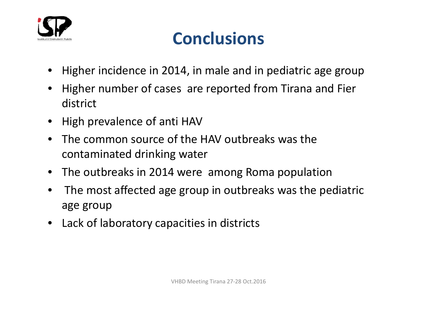

#### **Conclusions**

- •Higher incidence in 2014, in male and in pediatric age group
- • Higher number of cases are reported from Tirana and Fier district
- High prevalence of anti HAV
- • The common source of the HAV outbreaks was the contaminated drinking water
- $\bullet$ The outbreaks in 2014 were among Roma population
- • The most affected age group in outbreaks was the pediatric age group
- $\bullet$ Lack of laboratory capacities in districts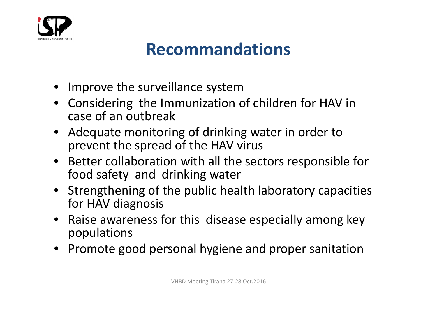

#### **Recommandations**

- Improve the surveillance system
- Considering the Immunization of children for HAV in case of an outbreak
- Adequate monitoring of drinking water in order to prevent the spread of the HAV virus
- Better collaboration with all the sectors responsible for food safety and drinking water
- Strengthening of the public health laboratory capacities for HAV diagnosis
- Raise awareness for this disease especially among key populations
- Promote good personal hygiene and proper sanitation